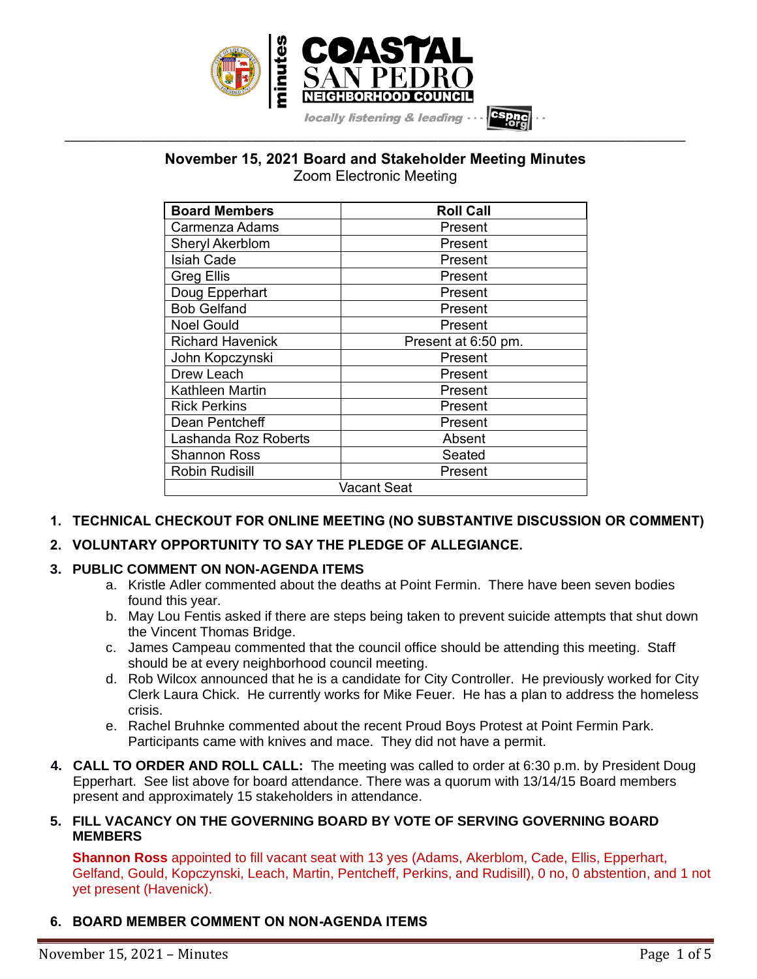

**November 15, 2021 Board and Stakeholder Meeting Minutes** Zoom Electronic Meeting

**\_\_\_\_\_\_\_\_\_\_\_\_\_\_\_\_\_\_\_\_\_\_\_\_\_\_\_\_\_\_\_\_\_\_\_\_\_\_\_\_\_\_\_\_\_\_\_\_\_\_\_\_\_\_\_\_\_\_\_\_\_\_\_\_\_\_\_\_\_\_\_\_\_\_\_\_\_\_\_\_\_\_\_\_\_\_\_\_\_\_\_\_\_\_\_\_\_\_\_\_\_\_\_\_\_\_\_\_\_\_\_\_\_**

| <b>Board Members</b>    | <b>Roll Call</b>    |
|-------------------------|---------------------|
| Carmenza Adams          | Present             |
| <b>Sheryl Akerblom</b>  | Present             |
| Isiah Cade              | Present             |
| <b>Greg Ellis</b>       | Present             |
| Doug Epperhart          | Present             |
| <b>Bob Gelfand</b>      | Present             |
| <b>Noel Gould</b>       | Present             |
| <b>Richard Havenick</b> | Present at 6:50 pm. |
| John Kopczynski         | Present             |
| Drew Leach              | Present             |
| Kathleen Martin         | Present             |
| <b>Rick Perkins</b>     | Present             |
| Dean Pentcheff          | Present             |
| Lashanda Roz Roberts    | Absent              |
| Shannon Ross            | Seated              |
| <b>Robin Rudisill</b>   | Present             |
| Vacant Seat             |                     |

## **1. TECHNICAL CHECKOUT FOR ONLINE MEETING (NO SUBSTANTIVE DISCUSSION OR COMMENT)**

## **2. VOLUNTARY OPPORTUNITY TO SAY THE PLEDGE OF ALLEGIANCE.**

### **3. PUBLIC COMMENT ON NON-AGENDA ITEMS**

- a. Kristle Adler commented about the deaths at Point Fermin. There have been seven bodies found this year.
- b. May Lou Fentis asked if there are steps being taken to prevent suicide attempts that shut down the Vincent Thomas Bridge.
- c. James Campeau commented that the council office should be attending this meeting. Staff should be at every neighborhood council meeting.
- d. Rob Wilcox announced that he is a candidate for City Controller. He previously worked for City Clerk Laura Chick. He currently works for Mike Feuer. He has a plan to address the homeless crisis.
- e. Rachel Bruhnke commented about the recent Proud Boys Protest at Point Fermin Park. Participants came with knives and mace. They did not have a permit.
- **4. CALL TO ORDER AND ROLL CALL:** The meeting was called to order at 6:30 p.m. by President Doug Epperhart. See list above for board attendance. There was a quorum with 13/14/15 Board members present and approximately 15 stakeholders in attendance.

### **5. FILL VACANCY ON THE GOVERNING BOARD BY VOTE OF SERVING GOVERNING BOARD MEMBERS**

**Shannon Ross** appointed to fill vacant seat with 13 yes (Adams, Akerblom, Cade, Ellis, Epperhart, Gelfand, Gould, Kopczynski, Leach, Martin, Pentcheff, Perkins, and Rudisill), 0 no, 0 abstention, and 1 not yet present (Havenick).

## **6. BOARD MEMBER COMMENT ON NON-AGENDA ITEMS**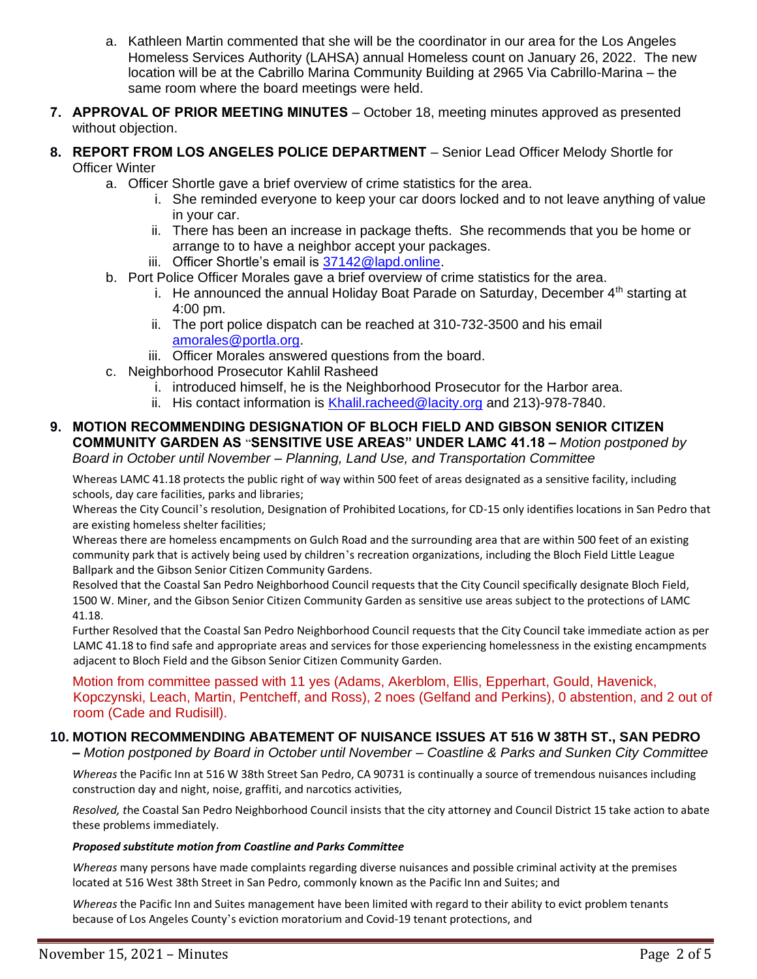- a. Kathleen Martin commented that she will be the coordinator in our area for the Los Angeles Homeless Services Authority (LAHSA) annual Homeless count on January 26, 2022. The new location will be at the Cabrillo Marina Community Building at 2965 Via Cabrillo-Marina – the same room where the board meetings were held.
- **7. APPROVAL OF PRIOR MEETING MINUTES** October 18, meeting minutes approved as presented without objection.
- **8. REPORT FROM LOS ANGELES POLICE DEPARTMENT** Senior Lead Officer Melody Shortle for Officer Winter
	- a. Officer Shortle gave a brief overview of crime statistics for the area.
		- i. She reminded everyone to keep your car doors locked and to not leave anything of value in your car.
		- ii. There has been an increase in package thefts. She recommends that you be home or arrange to to have a neighbor accept your packages.
		- iii. Officer Shortle's email is [37142@lapd.online.](mailto:37142@lapd.online)
	- b. Port Police Officer Morales gave a brief overview of crime statistics for the area.
		- i. He announced the annual Holiday Boat Parade on Saturday, December  $4<sup>th</sup>$  starting at 4:00 pm.
		- ii. The port police dispatch can be reached at 310-732-3500 and his email [amorales@portla.org.](mailto:amorales@portla.org)
		- iii. Officer Morales answered questions from the board.
	- c. Neighborhood Prosecutor Kahlil Rasheed
		- i. introduced himself, he is the Neighborhood Prosecutor for the Harbor area.
		- ii. His contact information is [Khalil.racheed@lacity.org](mailto:Khalil.racheed@lacity.org) and 213)-978-7840.

### **9. MOTION RECOMMENDING DESIGNATION OF BLOCH FIELD AND GIBSON SENIOR CITIZEN COMMUNITY GARDEN AS** "**SENSITIVE USE AREAS" UNDER LAMC 41.18 –** *Motion postponed by Board in October until November – Planning, Land Use, and Transportation Committee*

Whereas LAMC 41.18 protects the public right of way within 500 feet of areas designated as a sensitive facility, including schools, day care facilities, parks and libraries;

Whereas the City Council's resolution, Designation of Prohibited Locations, for CD-15 only identifies locations in San Pedro that are existing homeless shelter facilities;

Whereas there are homeless encampments on Gulch Road and the surrounding area that are within 500 feet of an existing community park that is actively being used by children's recreation organizations, including the Bloch Field Little League Ballpark and the Gibson Senior Citizen Community Gardens.

Resolved that the Coastal San Pedro Neighborhood Council requests that the City Council specifically designate Bloch Field, 1500 W. Miner, and the Gibson Senior Citizen Community Garden as sensitive use areas subject to the protections of LAMC 41.18.

Further Resolved that the Coastal San Pedro Neighborhood Council requests that the City Council take immediate action as per LAMC 41.18 to find safe and appropriate areas and services for those experiencing homelessness in the existing encampments adjacent to Bloch Field and the Gibson Senior Citizen Community Garden.

Motion from committee passed with 11 yes (Adams, Akerblom, Ellis, Epperhart, Gould, Havenick, Kopczynski, Leach, Martin, Pentcheff, and Ross), 2 noes (Gelfand and Perkins), 0 abstention, and 2 out of room (Cade and Rudisill).

# **10. MOTION RECOMMENDING ABATEMENT OF NUISANCE ISSUES AT 516 W 38TH ST., SAN PEDRO**

**–** *Motion postponed by Board in October until November – Coastline & Parks and Sunken City Committee*

*Whereas* the Pacific Inn at 516 W 38th Street San Pedro, CA 90731 is continually a source of tremendous nuisances including construction day and night, noise, graffiti, and narcotics activities,

*Resolved, t*he Coastal San Pedro Neighborhood Council insists that the city attorney and Council District 15 take action to abate these problems immediately.

#### *Proposed substitute motion from Coastline and Parks Committee*

*Whereas* many persons have made complaints regarding diverse nuisances and possible criminal activity at the premises located at 516 West 38th Street in San Pedro, commonly known as the Pacific Inn and Suites; and

*Whereas* the Pacific Inn and Suites management have been limited with regard to their ability to evict problem tenants because of Los Angeles County 's eviction moratorium and Covid-19 tenant protections, and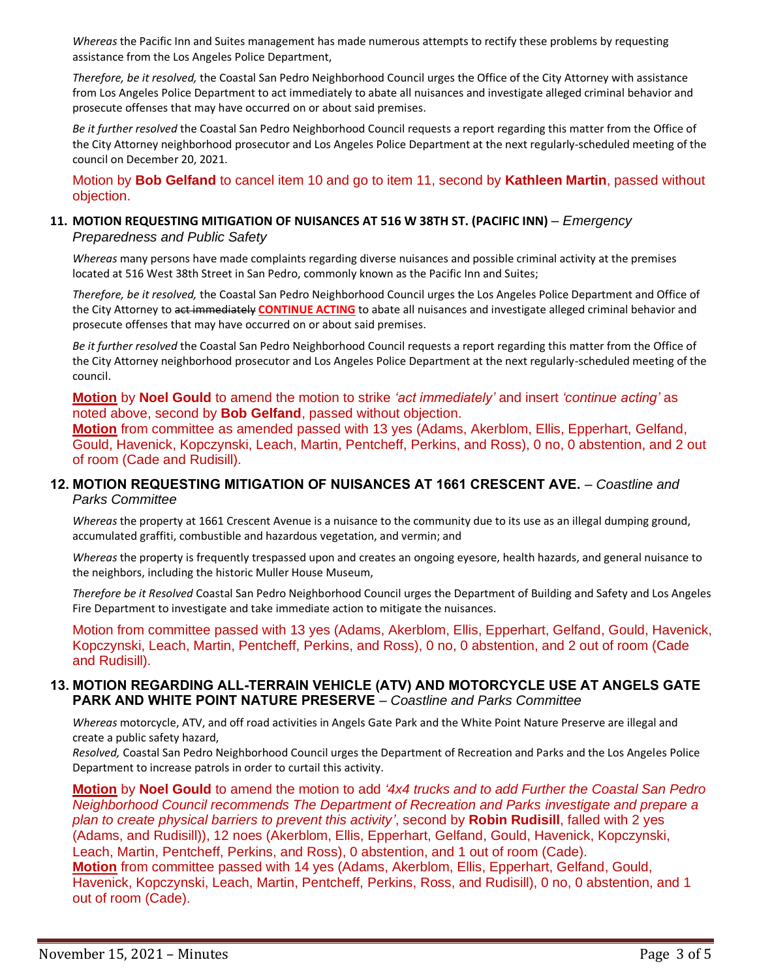*Whereas* the Pacific Inn and Suites management has made numerous attempts to rectify these problems by requesting assistance from the Los Angeles Police Department,

*Therefore, be it resolved,* the Coastal San Pedro Neighborhood Council urges the Office of the City Attorney with assistance from Los Angeles Police Department to act immediately to abate all nuisances and investigate alleged criminal behavior and prosecute offenses that may have occurred on or about said premises.

*Be it further resolved* the Coastal San Pedro Neighborhood Council requests a report regarding this matter from the Office of the City Attorney neighborhood prosecutor and Los Angeles Police Department at the next regularly-scheduled meeting of the council on December 20, 2021.

Motion by **Bob Gelfand** to cancel item 10 and go to item 11, second by **Kathleen Martin**, passed without objection.

#### **11. MOTION REQUESTING MITIGATION OF NUISANCES AT 516 W 38TH ST. (PACIFIC INN)** *– Emergency Preparedness and Public Safety*

*Whereas* many persons have made complaints regarding diverse nuisances and possible criminal activity at the premises located at 516 West 38th Street in San Pedro, commonly known as the Pacific Inn and Suites;

*Therefore, be it resolved,* the Coastal San Pedro Neighborhood Council urges the Los Angeles Police Department and Office of the City Attorney to act immediately **CONTINUE ACTING** to abate all nuisances and investigate alleged criminal behavior and prosecute offenses that may have occurred on or about said premises.

*Be it further resolved* the Coastal San Pedro Neighborhood Council requests a report regarding this matter from the Office of the City Attorney neighborhood prosecutor and Los Angeles Police Department at the next regularly-scheduled meeting of the council.

**Motion** by **Noel Gould** to amend the motion to strike *'act immediately'* and insert *'continue acting'* as noted above, second by **Bob Gelfand**, passed without objection.

**Motion** from committee as amended passed with 13 yes (Adams, Akerblom, Ellis, Epperhart, Gelfand, Gould, Havenick, Kopczynski, Leach, Martin, Pentcheff, Perkins, and Ross), 0 no, 0 abstention, and 2 out of room (Cade and Rudisill).

### **12. MOTION REQUESTING MITIGATION OF NUISANCES AT 1661 CRESCENT AVE.** *– Coastline and Parks Committee*

*Whereas* the property at 1661 Crescent Avenue is a nuisance to the community due to its use as an illegal dumping ground, accumulated graffiti, combustible and hazardous vegetation, and vermin; and

*Whereas* the property is frequently trespassed upon and creates an ongoing eyesore, health hazards, and general nuisance to the neighbors, including the historic Muller House Museum,

*Therefore be it Resolved* Coastal San Pedro Neighborhood Council urges the Department of Building and Safety and Los Angeles Fire Department to investigate and take immediate action to mitigate the nuisances.

Motion from committee passed with 13 yes (Adams, Akerblom, Ellis, Epperhart, Gelfand, Gould, Havenick, Kopczynski, Leach, Martin, Pentcheff, Perkins, and Ross), 0 no, 0 abstention, and 2 out of room (Cade and Rudisill).

### **13. MOTION REGARDING ALL-TERRAIN VEHICLE (ATV) AND MOTORCYCLE USE AT ANGELS GATE PARK AND WHITE POINT NATURE PRESERVE** *– Coastline and Parks Committee*

*Whereas* motorcycle, ATV, and off road activities in Angels Gate Park and the White Point Nature Preserve are illegal and create a public safety hazard,

*Resolved,* Coastal San Pedro Neighborhood Council urges the Department of Recreation and Parks and the Los Angeles Police Department to increase patrols in order to curtail this activity.

**Motion** by **Noel Gould** to amend the motion to add *'4x4 trucks and to add Further the Coastal San Pedro Neighborhood Council recommends The Department of Recreation and Parks investigate and prepare a plan to create physical barriers to prevent this activity'*, second by **Robin Rudisill**, falled with 2 yes (Adams, and Rudisill)), 12 noes (Akerblom, Ellis, Epperhart, Gelfand, Gould, Havenick, Kopczynski, Leach, Martin, Pentcheff, Perkins, and Ross), 0 abstention, and 1 out of room (Cade). **Motion** from committee passed with 14 yes (Adams, Akerblom, Ellis, Epperhart, Gelfand, Gould, Havenick, Kopczynski, Leach, Martin, Pentcheff, Perkins, Ross, and Rudisill), 0 no, 0 abstention, and 1 out of room (Cade).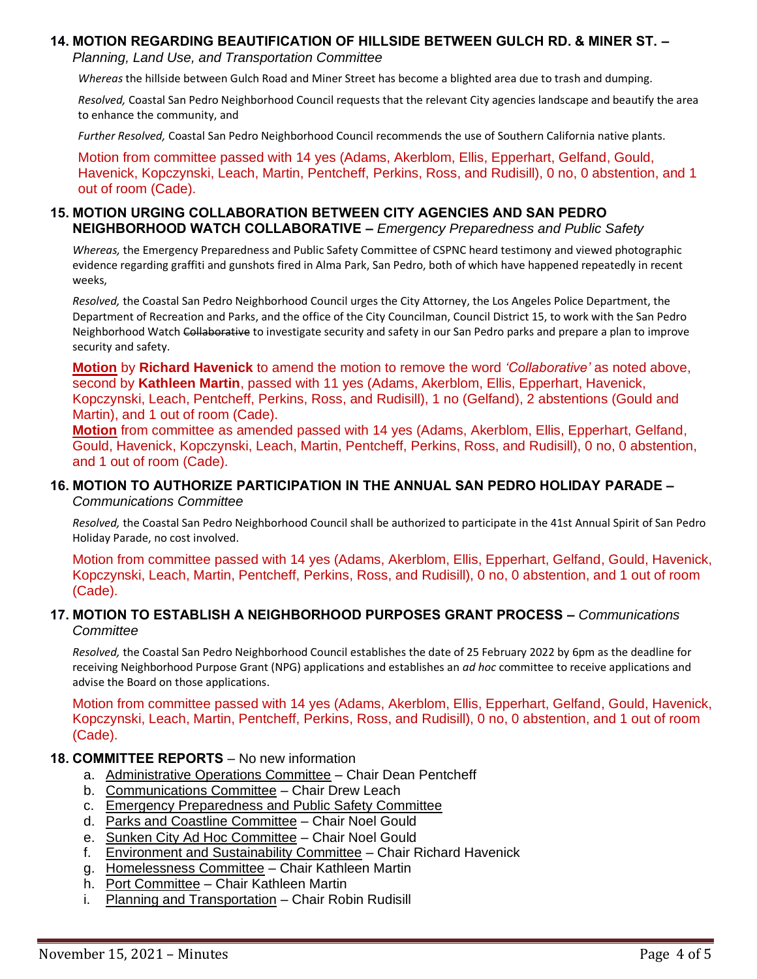## **14. MOTION REGARDING BEAUTIFICATION OF HILLSIDE BETWEEN GULCH RD. & MINER ST. –**

*Planning, Land Use, and Transportation Committee*

*Whereas* the hillside between Gulch Road and Miner Street has become a blighted area due to trash and dumping.

*Resolved,* Coastal San Pedro Neighborhood Council requests that the relevant City agencies landscape and beautify the area to enhance the community, and

*Further Resolved,* Coastal San Pedro Neighborhood Council recommends the use of Southern California native plants.

Motion from committee passed with 14 yes (Adams, Akerblom, Ellis, Epperhart, Gelfand, Gould, Havenick, Kopczynski, Leach, Martin, Pentcheff, Perkins, Ross, and Rudisill), 0 no, 0 abstention, and 1 out of room (Cade).

### **15. MOTION URGING COLLABORATION BETWEEN CITY AGENCIES AND SAN PEDRO NEIGHBORHOOD WATCH COLLABORATIVE –** *Emergency Preparedness and Public Safety*

*Whereas,* the Emergency Preparedness and Public Safety Committee of CSPNC heard testimony and viewed photographic evidence regarding graffiti and gunshots fired in Alma Park, San Pedro, both of which have happened repeatedly in recent weeks,

*Resolved,* the Coastal San Pedro Neighborhood Council urges the City Attorney, the Los Angeles Police Department, the Department of Recreation and Parks, and the office of the City Councilman, Council District 15, to work with the San Pedro Neighborhood Watch Collaborative to investigate security and safety in our San Pedro parks and prepare a plan to improve security and safety.

**Motion** by **Richard Havenick** to amend the motion to remove the word *'Collaborative'* as noted above, second by **Kathleen Martin**, passed with 11 yes (Adams, Akerblom, Ellis, Epperhart, Havenick, Kopczynski, Leach, Pentcheff, Perkins, Ross, and Rudisill), 1 no (Gelfand), 2 abstentions (Gould and Martin), and 1 out of room (Cade).

**Motion** from committee as amended passed with 14 yes (Adams, Akerblom, Ellis, Epperhart, Gelfand, Gould, Havenick, Kopczynski, Leach, Martin, Pentcheff, Perkins, Ross, and Rudisill), 0 no, 0 abstention, and 1 out of room (Cade).

#### **16. MOTION TO AUTHORIZE PARTICIPATION IN THE ANNUAL SAN PEDRO HOLIDAY PARADE –** *Communications Committee*

*Resolved,* the Coastal San Pedro Neighborhood Council shall be authorized to participate in the 41st Annual Spirit of San Pedro Holiday Parade, no cost involved.

Motion from committee passed with 14 yes (Adams, Akerblom, Ellis, Epperhart, Gelfand, Gould, Havenick, Kopczynski, Leach, Martin, Pentcheff, Perkins, Ross, and Rudisill), 0 no, 0 abstention, and 1 out of room (Cade).

### **17. MOTION TO ESTABLISH A NEIGHBORHOOD PURPOSES GRANT PROCESS –** *Communications Committee*

*Resolved,* the Coastal San Pedro Neighborhood Council establishes the date of 25 February 2022 by 6pm as the deadline for receiving Neighborhood Purpose Grant (NPG) applications and establishes an *ad hoc* committee to receive applications and advise the Board on those applications.

Motion from committee passed with 14 yes (Adams, Akerblom, Ellis, Epperhart, Gelfand, Gould, Havenick, Kopczynski, Leach, Martin, Pentcheff, Perkins, Ross, and Rudisill), 0 no, 0 abstention, and 1 out of room (Cade).

### **18. COMMITTEE REPORTS** – No new information

- a. Administrative Operations Committee Chair Dean Pentcheff
- b. Communications Committee Chair Drew Leach
- c. Emergency Preparedness and Public Safety Committee
- d. Parks and Coastline Committee Chair Noel Gould
- e. Sunken City Ad Hoc Committee Chair Noel Gould
- f. Environment and Sustainability Committee Chair Richard Havenick
- g. Homelessness Committee Chair Kathleen Martin
- h. Port Committee Chair Kathleen Martin
- i. Planning and Transportation Chair Robin Rudisill